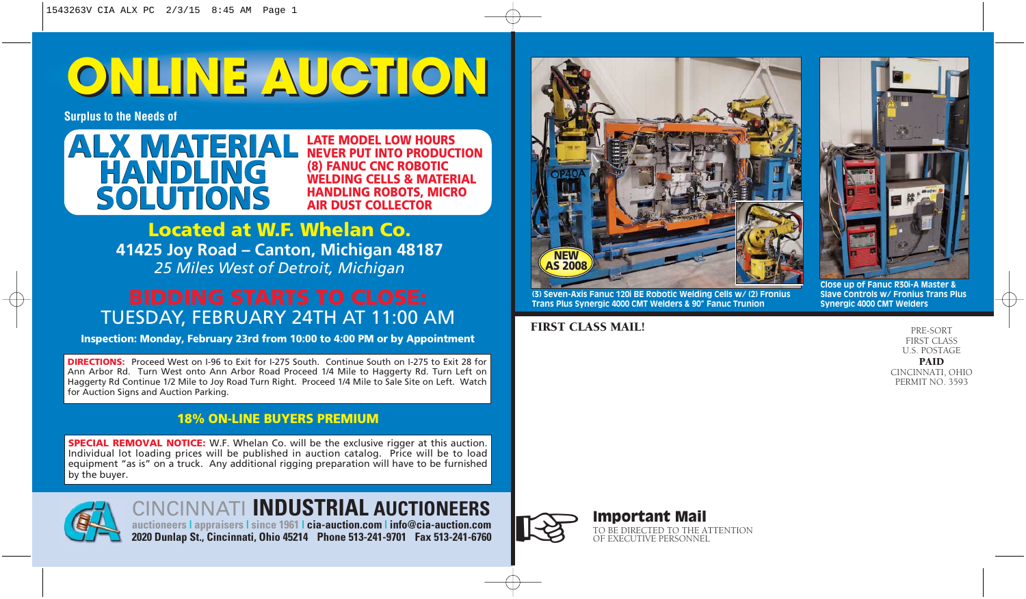# **ONLINE AUCTION ONLINE AUCTION**

**Surplus to the Needs of**



**LATE MODEL LOW HOURS NEVER PUT INTO PRODUCTION (8) FANUC CNC ROBOTIC WELDING CELLS & MATERIAL HANDLING ROBOTS, MICRO AIR DUST COLLECTOR**

## **Located at W.F. Whelan Co. 41425 Joy Road – Canton, Michigan 48187** *25 Miles West of Detroit, Michigan*

# TUESDAY, FEBRUARY 24TH AT 11:00 AM

**Inspection: Monday, February 23rd from 10:00 to 4:00 PM or by Appointment**

**DIRECTIONS:** Proceed West on I-96 to Exit for I-275 South. Continue South on I-275 to Exit 28 for Ann Arbor Rd. Turn West onto Ann Arbor Road Proceed 1/4 Mile to Haggerty Rd. Turn Left on Haggerty Rd Continue 1/2 Mile to Joy Road Turn Right. Proceed 1/4 Mile to Sale Site on Left. Watch for Auction Signs and Auction Parking.

## **18% ON-LINE BUYERS PREMIUM**

**SPECIAL REMOVAL NOTICE:** W.F. Whelan Co. will be the exclusive rigger at this auction. Individual lot loading prices will be published in auction catalog. Price will be to load equipment "as is" on a truck. Any additional rigging preparation will have to be furnished by the buyer.



# CINCINNATI **INDUSTRIAL AUCTIONEERS**

**auctioneers | appraisers | since 1961 | cia-auction.com | info@cia-auction.com 2020 Dunlap St., Cincinnati, Ohio 45214 Phone 513-241-9701 Fax 513-241-6760**



**(3) Seven-Axis Fanuc 120i BE Robotic Welding Cells w/ (2) Fronius Trans Plus Synergic 4000 CMT Welders & 90" Fanuc Trunion**

Important Mail

TO BE DIRECTED TO THE ATTENTION<br>OF EXECUTIVE PERSONNEL

## FIRST CLASS MAIL!



**Close up of Fanuc R30i-A Master & Slave Controls w/ Fronius Trans Plus Synergic 4000 CMT Welders**

> PRE-SORT FIRST CLASS U.S. POSTAGE PAID

CINCINNATI, OHIO

PERMIT NO. 3593